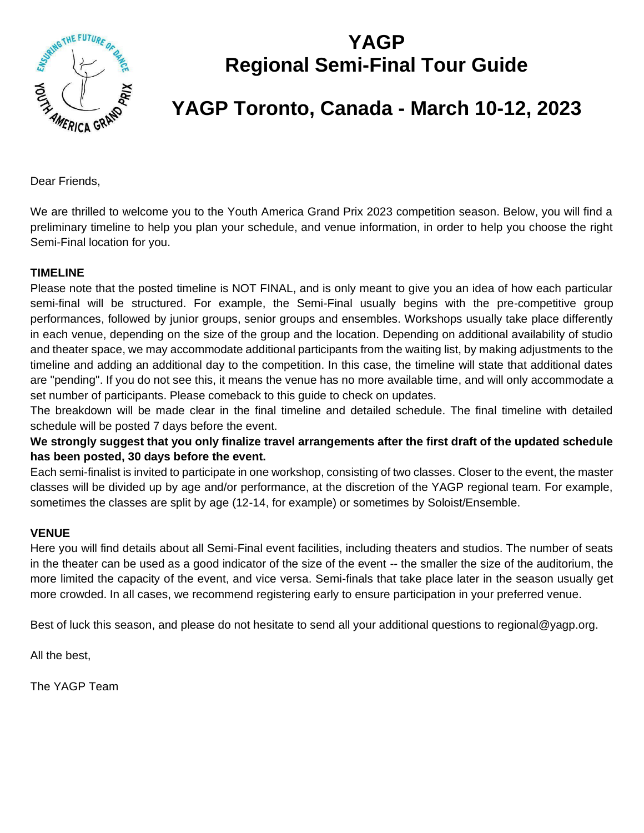

## **YAGP Regional Semi-Final Tour Guide**

# **YAGP Toronto, Canada - March 10-12, 2023**

Dear Friends,

We are thrilled to welcome you to the Youth America Grand Prix 2023 competition season. Below, you will find a preliminary timeline to help you plan your schedule, and venue information, in order to help you choose the right Semi-Final location for you.

#### **TIMELINE**

Please note that the posted timeline is NOT FINAL, and is only meant to give you an idea of how each particular semi-final will be structured. For example, the Semi-Final usually begins with the pre-competitive group performances, followed by junior groups, senior groups and ensembles. Workshops usually take place differently in each venue, depending on the size of the group and the location. Depending on additional availability of studio and theater space, we may accommodate additional participants from the waiting list, by making adjustments to the timeline and adding an additional day to the competition. In this case, the timeline will state that additional dates are "pending". If you do not see this, it means the venue has no more available time, and will only accommodate a set number of participants. Please comeback to this guide to check on updates.

The breakdown will be made clear in the final timeline and detailed schedule. The final timeline with detailed schedule will be posted 7 days before the event.

**We strongly suggest that you only finalize travel arrangements after the first draft of the updated schedule has been posted, 30 days before the event.** 

Each semi-finalist is invited to participate in one workshop, consisting of two classes. Closer to the event, the master classes will be divided up by age and/or performance, at the discretion of the YAGP regional team. For example, sometimes the classes are split by age (12-14, for example) or sometimes by Soloist/Ensemble.

#### **VENUE**

Here you will find details about all Semi-Final event facilities, including theaters and studios. The number of seats in the theater can be used as a good indicator of the size of the event -- the smaller the size of the auditorium, the more limited the capacity of the event, and vice versa. Semi-finals that take place later in the season usually get more crowded. In all cases, we recommend registering early to ensure participation in your preferred venue.

Best of luck this season, and please do not hesitate to send all your additional questions to regional@yagp.org.

All the best,

The YAGP Team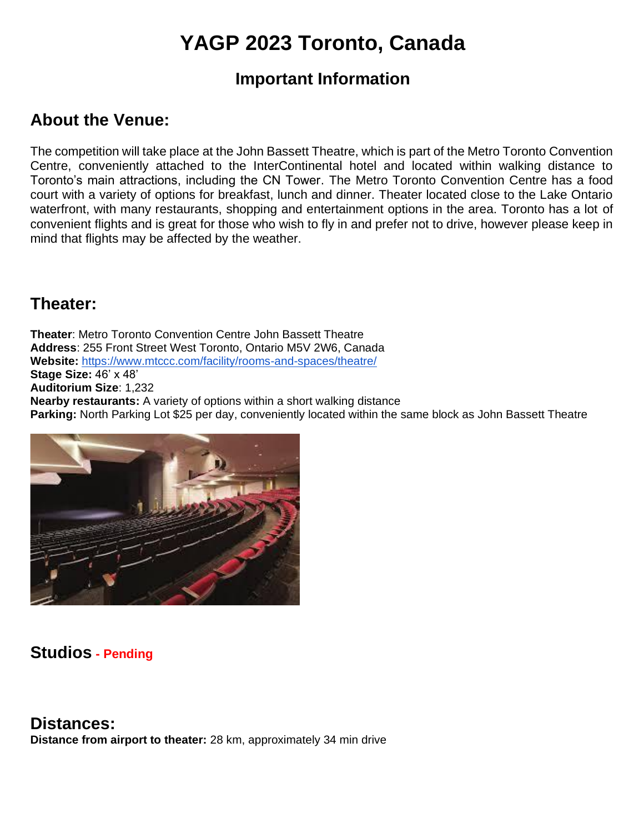# **YAGP 2023 Toronto, Canada**

### **Important Information**

## **About the Venue:**

The competition will take place at the John Bassett Theatre, which is part of the Metro Toronto Convention Centre, conveniently attached to the InterContinental hotel and located within walking distance to Toronto's main attractions, including the CN Tower. The Metro Toronto Convention Centre has a food court with a variety of options for breakfast, lunch and dinner. Theater located close to the Lake Ontario waterfront, with many restaurants, shopping and entertainment options in the area. Toronto has a lot of convenient flights and is great for those who wish to fly in and prefer not to drive, however please keep in mind that flights may be affected by the weather.

### **Theater:**

**Theater**: Metro Toronto Convention Centre John Bassett Theatre **Address**: 255 Front Street West Toronto, Ontario M5V 2W6, Canada **Website:** <https://www.mtccc.com/facility/rooms-and-spaces/theatre/> **Stage Size:** 46' x 48' **Auditorium Size**: 1,232 **Nearby restaurants:** A variety of options within a short walking distance **Parking:** North Parking Lot \$25 per day, conveniently located within the same block as John Bassett Theatre



### **Studios - Pending**